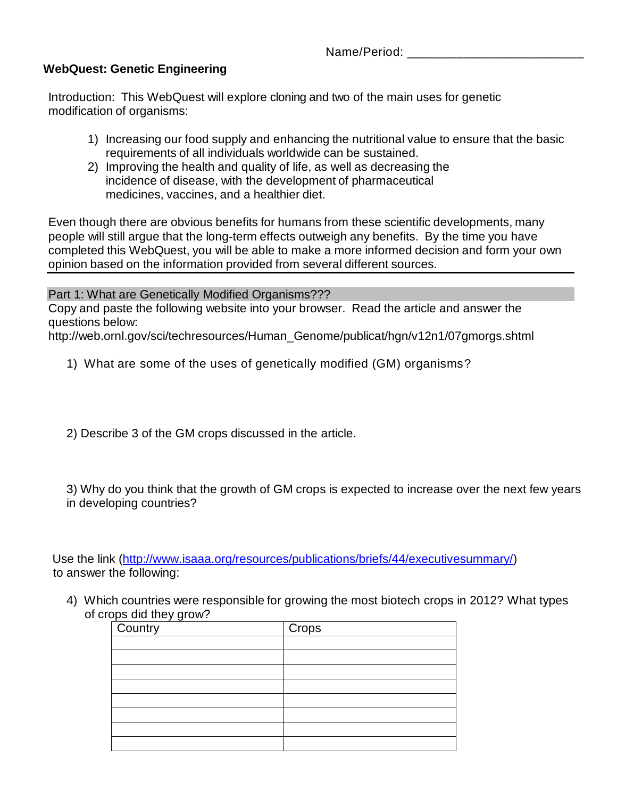Name/Period:

### **WebQuest: Genetic Engineering**

Introduction: This WebQuest will explore cloning and two of the main uses for genetic modification of organisms:

- 1) Increasing our food supply and enhancing the nutritional value to ensure that the basic requirements of all individuals worldwide can be sustained.
- 2) Improving the health and quality of life, as well as decreasing the incidence of disease, with the development of pharmaceutical medicines, vaccines, and a healthier diet.

Even though there are obvious benefits for humans from these scientific developments, many people will still argue that the long-term effects outweigh any benefits. By the time you have completed this WebQuest, you will be able to make a more informed decision and form your own opinion based on the information provided from several different sources.

Part 1: What are Genetically Modified Organisms???

Copy and paste the following website into your browser. Read the article and answer the questions below:

http://web.ornl.gov/sci/techresources/Human\_Genome/publicat/hgn/v12n1/07gmorgs.shtml

1) What are some of the uses of genetically modified (GM) organisms?

2) Describe 3 of the GM crops discussed in the article.

3) Why do you think that the growth of GM crops is expected to increase over the next few years in developing countries?

 Use the link [\(http://www.isaaa.org/resources/publications/briefs/44/executivesummary/\)](http://www.isaaa.org/resources/publications/briefs/44/executivesummary/) to answer the following:

4) Which countries were responsible for growing the most biotech crops in 2012? What types of crops did they grow?

| Country | Crops |
|---------|-------|
|         |       |
|         |       |
|         |       |
|         |       |
|         |       |
|         |       |
|         |       |
|         |       |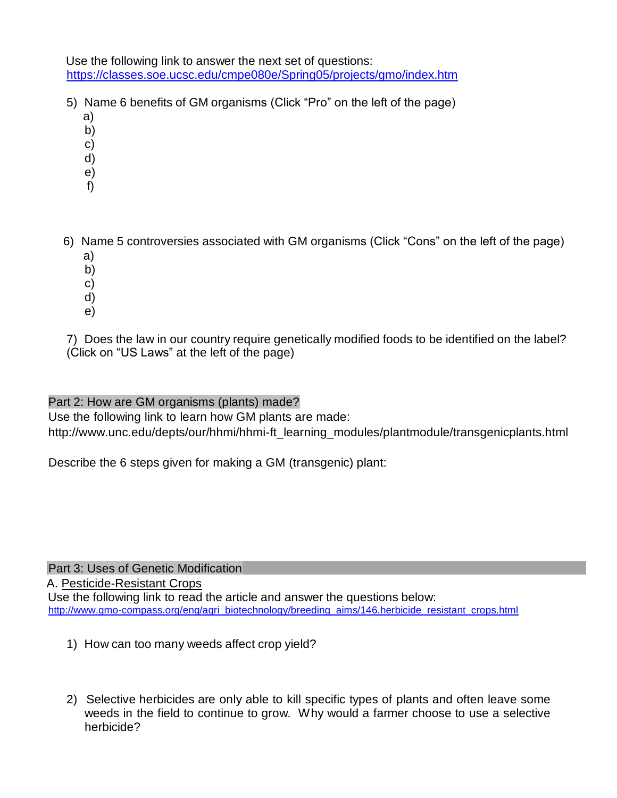Use the following link to answer the next set of questions: <https://classes.soe.ucsc.edu/cmpe080e/Spring05/projects/gmo/index.htm>

- 5) Name 6 benefits of GM organisms (Click "Pro" on the left of the page)
	- a)
	- b)
	- c)
	- d)
	- e)
	- f)
- 6) Name 5 controversies associated with GM organisms (Click "Cons" on the left of the page) a)
	- b)
	- c)
	- d)
	- e)

7) Does the law in our country require genetically modified foods to be identified on the label? (Click on "US Laws" at the left of the page)

## Part 2: How are GM organisms (plants) made?

Use the following link to learn how GM plants are made: http://www.unc.edu/depts/our/hhmi/hhmi-ft\_learning\_modules/plantmodule/transgenicplants.html

Describe the 6 steps given for making a GM (transgenic) plant:

Part 3: Uses of Genetic Modification

A. Pesticide-Resistant Crops

Use the following link to read the article and answer the questions below: [http://www.gmo-compass.org/eng/agri\\_biotechnology/breeding\\_aims/146.herbicide\\_resistant\\_crops.html](http://www.gmo-compass.org/eng/agri_biotechnology/breeding_aims/146.herbicide_resistant_crops.html)

- 1) How can too many weeds affect crop yield?
- 2) Selective herbicides are only able to kill specific types of plants and often leave some weeds in the field to continue to grow. Why would a farmer choose to use a selective herbicide?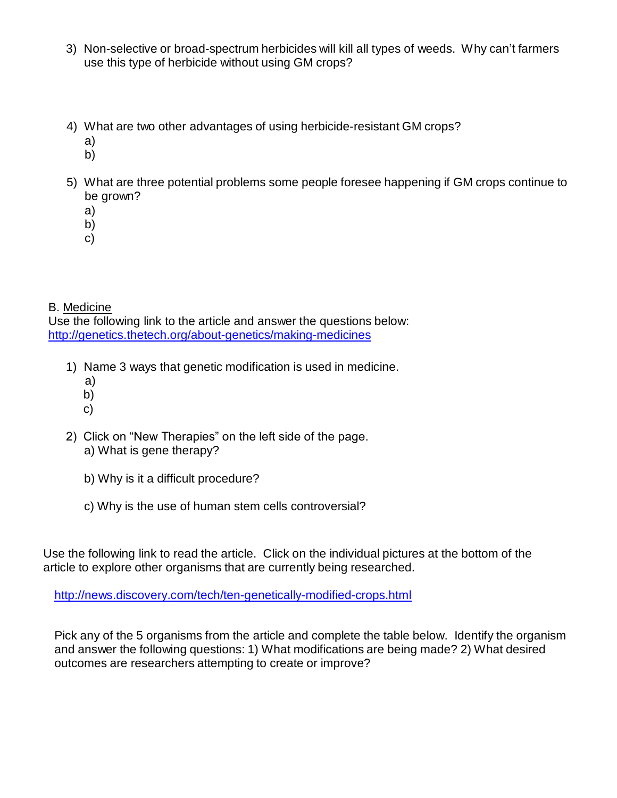- 3) Non-selective or broad-spectrum herbicides will kill all types of weeds. Why can't farmers use this type of herbicide without using GM crops?
- 4) What are two other advantages of using herbicide-resistant GM crops?
	- a)
	- b)
- 5) What are three potential problems some people foresee happening if GM crops continue to be grown?
	- a)
	- b)
	- c)

# B. Medicine

Use the following link to the article and answer the questions below: <http://genetics.thetech.org/about-genetics/making-medicines>

- 1) Name 3 ways that genetic modification is used in medicine.
	- a)
	- b)
	- c)
- 2) Click on "New Therapies" on the left side of the page. a) What is gene therapy?
	- b) Why is it a difficult procedure?
	- c) Why is the use of human stem cells controversial?

Use the following link to read the article. Click on the individual pictures at the bottom of the article to explore other organisms that are currently being researched.

<http://news.discovery.com/tech/ten-genetically-modified-crops.html>

Pick any of the 5 organisms from the article and complete the table below. Identify the organism and answer the following questions: 1) What modifications are being made? 2) What desired outcomes are researchers attempting to create or improve?